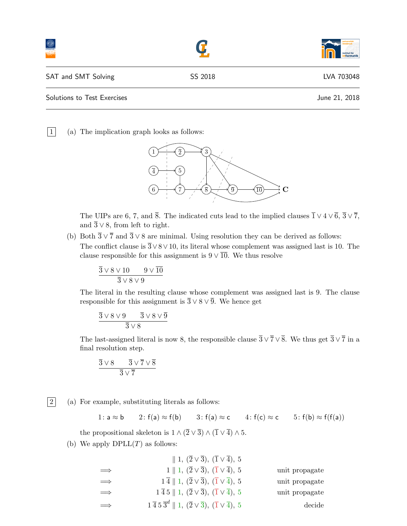|                             |         | institut für<br>informatik |
|-----------------------------|---------|----------------------------|
| SAT and SMT Solving         | SS 2018 | LVA 703048                 |
| Solutions to Test Exercises |         | June 21, 2018              |

 $\boxed{1}$  (a) The implication graph looks as follows:



The UIPs are 6, 7, and  $\overline{8}$ . The indicated cuts lead to the implied clauses  $\overline{1} \vee 4 \vee \overline{6}$ ,  $\overline{3} \vee \overline{7}$ , and  $\overline{3} \vee 8$ , from left to right.

(b) Both  $\overline{3} \vee \overline{7}$  and  $\overline{3} \vee 8$  are minimal. Using resolution they can be derived as follows: The conflict clause is  $\overline{3} \vee 8 \vee 10$ , its literal whose complement was assigned last is 10. The clause responsible for this assignment is  $9 \vee \overline{10}$ . We thus resolve

$$
\frac{\overline{3} \vee 8 \vee 10 \qquad 9 \vee \overline{10}}{\overline{3} \vee 8 \vee 9}
$$

The literal in the resulting clause whose complement was assigned last is 9. The clause responsible for this assignment is  $\overline{3} \vee 8 \vee \overline{9}$ . We hence get

$$
\frac{\overline{3} \vee 8 \vee 9 \qquad \overline{3} \vee 8 \vee \overline{9}}{\overline{3} \vee 8}
$$

The last-assigned literal is now 8, the responsible clause  $\overline{3} \vee \overline{7} \vee \overline{8}$ . We thus get  $\overline{3} \vee \overline{7}$  in a final resolution step.

$$
\frac{\overline{3} \vee 8 \qquad \overline{3} \vee \overline{7} \vee \overline{8}}{\overline{3} \vee \overline{7}}
$$

 $|2|$  (a) For example, substituting literals as follows:

1: 
$$
a \approx b
$$
 2:  $f(a) \approx f(b)$  3:  $f(a) \approx c$  4:  $f(c) \approx c$  5:  $f(b) \approx f(f(a))$ 

the propositional skeleton is  $1 \wedge (\overline{2} \vee \overline{3}) \wedge (\overline{1} \vee \overline{4}) \wedge 5$ .

(b) We apply  $DPLL(T)$  as follows:

|            | $\parallel$ 1, $(\overline{2}\vee\overline{3})$ , $(\overline{1}\vee\overline{4})$ , 5        |                |
|------------|-----------------------------------------------------------------------------------------------|----------------|
| $\implies$ | $1    1, (2 \vee 3), (1 \vee 4), 5$                                                           | unit propagate |
| $\implies$ | $1\overline{4}$    1, $(\overline{2}\vee\overline{3})$ , $(\overline{1}\vee\overline{4})$ , 5 | unit propagate |
| $\implies$ | $1\overline{4}5 \parallel 1, (2\vee \overline{3}), (\overline{1}\vee \overline{4}), 5$        | unit propagate |
| $\implies$ | $1\bar{4}5\bar{3}^d \parallel 1, (2\vee \bar{3}), (\bar{1}\vee \bar{4}), 5$                   | decide         |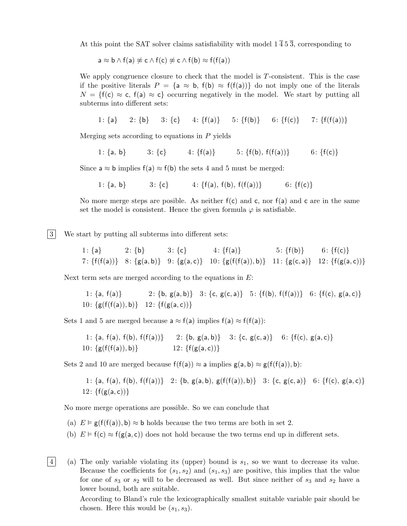At this point the SAT solver claims satisfiability with model  $1\overline{4}5\overline{3}$ , corresponding to

$$
a \approx b \wedge f(a) \not\approx c \wedge f(c) \not\approx c \wedge f(b) \approx f(f(a))
$$

We apply congruence closure to check that the model is  $T$ -consistent. This is the case if the positive literals  $P = \{a \approx b, f(b) \approx f(f(a))\}$  do not imply one of the literals  $N = \{f(c) \approx c, f(a) \approx c\}$  occurring negatively in the model. We start by putting all subterms into different sets:

$$
1\colon\{\mathsf{a}\} \qquad 2\colon\{\mathsf{b}\} \qquad 3\colon\{\mathsf{c}\} \qquad 4\colon\{\mathsf{f}(\mathsf{a})\} \qquad 5\colon\{\mathsf{f}(\mathsf{b})\} \qquad 6\colon\{\mathsf{f}(\mathsf{c})\} \qquad 7\colon\{\mathsf{f}(\mathsf{f}(\mathsf{a}))\}
$$

Merging sets according to equations in P yields

1: {a, b} 3: {c} 4: {f(a)} 5: {f(b), f(f(a))} 6: {f(c)}

Since  $a \approx b$  implies  $f(a) \approx f(b)$  the sets 4 and 5 must be merged:

1: {a, b} 3: {c} 4: {f(a), f(b), f(f(a))} 6: {f(c)}

No more merge steps are posible. As neither  $f(c)$  and c, nor  $f(a)$  and c are in the same set the model is consistent. Hence the given formula  $\varphi$  is satisfiable.

3 We start by putting all subterms into different sets:

1: {a} 2: {b} 3: {c} 4: {f(a)} 5: {f(b)} 6: {f(c)} 7: {f(f(a))} 8: {g(a, b)} 9: {g(a, c)} 10: {g(f(f(a)), b)} 11: {g(c, a)} 12: {f(g(a, c))}

Next term sets are merged according to the equations in  $E$ :

1: {a, f(a)} 2: {b, g(a, b)} 3: {c, g(c, a)} 5: {f(b), f(f(a))} 6: {f(c), g(a, c)} 10:  $\{g(f(f(a)), b)\}$  12:  $\{f(g(a, c))\}$ 

Sets 1 and 5 are merged because  $a \approx f(a)$  implies  $f(a) \approx f(f(a))$ :

1: {a, f(a), f(b), f(f(a))} 2: {b, g(a, b)} 3: {c, g(c, a)} 6: {f(c), g(a, c)} 10: {g(f(f(a)), b)} 12: {f(g(a, c))}

Sets 2 and 10 are merged because  $f(f(a)) \approx a$  implies  $g(a, b) \approx g(f(f(a)), b)$ :

1: {a, f(a), f(b), f(f(a))} 2: {b, g(a, b), g(f(f(a)), b)} 3: {c, g(c, a)} 6: {f(c), g(a, c)} 12:  $\{f(g(a, c))\}$ 

No more merge operations are possible. So we can conclude that

(a)  $E \models g(f(f(a)), b) \approx b$  holds because the two terms are both in set 2.

(b)  $E \models f(c) \approx f(g(a, c))$  does not hold because the two terms end up in different sets.

 $|4|$  (a) The only variable violating its (upper) bound is  $s_1$ , so we want to decrease its value. Because the coefficients for  $(s_1, s_2)$  and  $(s_1, s_3)$  are positive, this implies that the value for one of  $s_3$  or  $s_2$  will to be decreased as well. But since neither of  $s_3$  and  $s_2$  have a lower bound, both are suitable.

> According to Bland's rule the lexicographically smallest suitable variable pair should be chosen. Here this would be  $(s_1, s_3)$ .